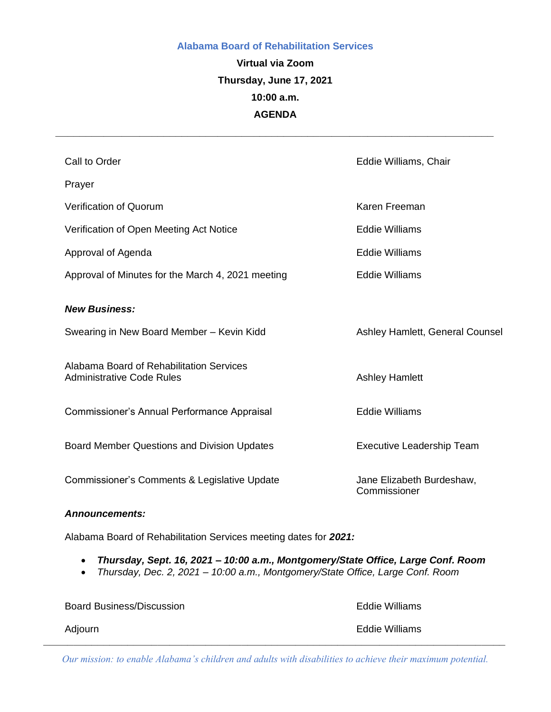#### **Alabama Board of Rehabilitation Services**

# **Virtual via Zoom Thursday, June 17, 2021 10:00 a.m. AGENDA**

*\_\_\_\_\_\_\_\_\_\_\_\_\_\_\_\_\_\_\_\_\_\_\_\_\_\_\_\_\_\_\_\_\_\_\_\_\_\_\_\_\_\_\_\_\_\_\_\_\_\_\_\_\_\_\_\_\_\_\_\_\_\_\_\_\_\_\_\_\_\_\_\_\_*

| Call to Order                                                                | Eddie Williams, Chair                     |
|------------------------------------------------------------------------------|-------------------------------------------|
| Prayer                                                                       |                                           |
| <b>Verification of Quorum</b>                                                | Karen Freeman                             |
| Verification of Open Meeting Act Notice                                      | <b>Eddie Williams</b>                     |
| Approval of Agenda                                                           | <b>Eddie Williams</b>                     |
| Approval of Minutes for the March 4, 2021 meeting                            | <b>Eddie Williams</b>                     |
| <b>New Business:</b>                                                         |                                           |
| Swearing in New Board Member - Kevin Kidd                                    | Ashley Hamlett, General Counsel           |
| Alabama Board of Rehabilitation Services<br><b>Administrative Code Rules</b> | <b>Ashley Hamlett</b>                     |
| Commissioner's Annual Performance Appraisal                                  | <b>Eddie Williams</b>                     |
| <b>Board Member Questions and Division Updates</b>                           | <b>Executive Leadership Team</b>          |
| Commissioner's Comments & Legislative Update                                 | Jane Elizabeth Burdeshaw,<br>Commissioner |
|                                                                              |                                           |

#### *Announcements:*

Alabama Board of Rehabilitation Services meeting dates for *2021:*

- *Thursday, Sept. 16, 2021 – 10:00 a.m., Montgomery/State Office, Large Conf. Room*
- *Thursday, Dec. 2, 2021 – 10:00 a.m., Montgomery/State Office, Large Conf. Room*

| <b>Board Business/Discussion</b> | Eddie Williams |
|----------------------------------|----------------|
| Adjourn                          | Eddie Williams |

*Our mission: to enable Alabama's children and adults with disabilities to achieve their maximum potential.*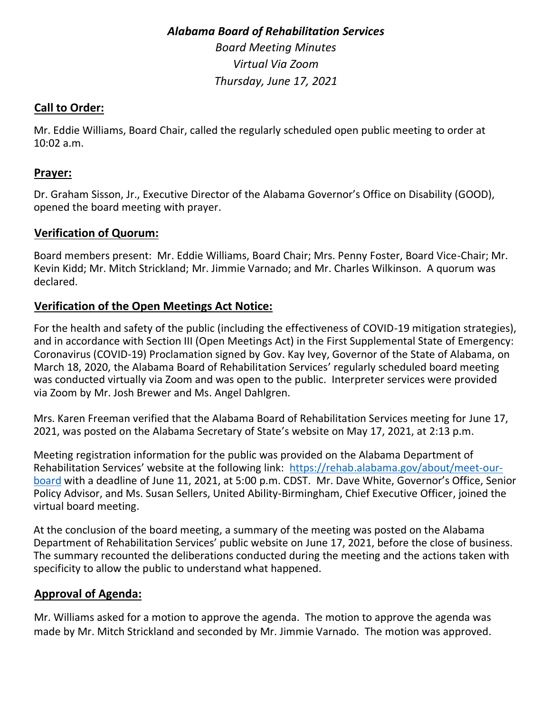#### *Alabama Board of Rehabilitation Services*

*Board Meeting Minutes Virtual Via Zoom Thursday, June 17, 2021* 

#### **Call to Order:**

Mr. Eddie Williams, Board Chair, called the regularly scheduled open public meeting to order at 10:02 a.m.

#### **Prayer:**

Dr. Graham Sisson, Jr., Executive Director of the Alabama Governor's Office on Disability (GOOD), opened the board meeting with prayer.

### **Verification of Quorum:**

Board members present: Mr. Eddie Williams, Board Chair; Mrs. Penny Foster, Board Vice-Chair; Mr. Kevin Kidd; Mr. Mitch Strickland; Mr. Jimmie Varnado; and Mr. Charles Wilkinson. A quorum was declared.

#### **Verification of the Open Meetings Act Notice:**

For the health and safety of the public (including the effectiveness of COVID-19 mitigation strategies), and in accordance with Section III (Open Meetings Act) in the First Supplemental State of Emergency: Coronavirus (COVID-19) Proclamation signed by Gov. Kay Ivey, Governor of the State of Alabama, on March 18, 2020, the Alabama Board of Rehabilitation Services' regularly scheduled board meeting was conducted virtually via Zoom and was open to the public. Interpreter services were provided via Zoom by Mr. Josh Brewer and Ms. Angel Dahlgren.

Mrs. Karen Freeman verified that the Alabama Board of Rehabilitation Services meeting for June 17, 2021, was posted on the Alabama Secretary of State's website on May 17, 2021, at 2:13 p.m.

Meeting registration information for the public was provided on the Alabama Department of Rehabilitation Services' website at the following link: [https://rehab.alabama.gov/about/meet-our](https://rehab.alabama.gov/about/meet-our-board)[board](https://rehab.alabama.gov/about/meet-our-board) with a deadline of June 11, 2021, at 5:00 p.m. CDST. Mr. Dave White, Governor's Office, Senior Policy Advisor, and Ms. Susan Sellers, United Ability-Birmingham, Chief Executive Officer, joined the virtual board meeting.

At the conclusion of the board meeting, a summary of the meeting was posted on the Alabama Department of Rehabilitation Services' public website on June 17, 2021, before the close of business. The summary recounted the deliberations conducted during the meeting and the actions taken with specificity to allow the public to understand what happened.

### **Approval of Agenda:**

Mr. Williams asked for a motion to approve the agenda. The motion to approve the agenda was made by Mr. Mitch Strickland and seconded by Mr. Jimmie Varnado. The motion was approved.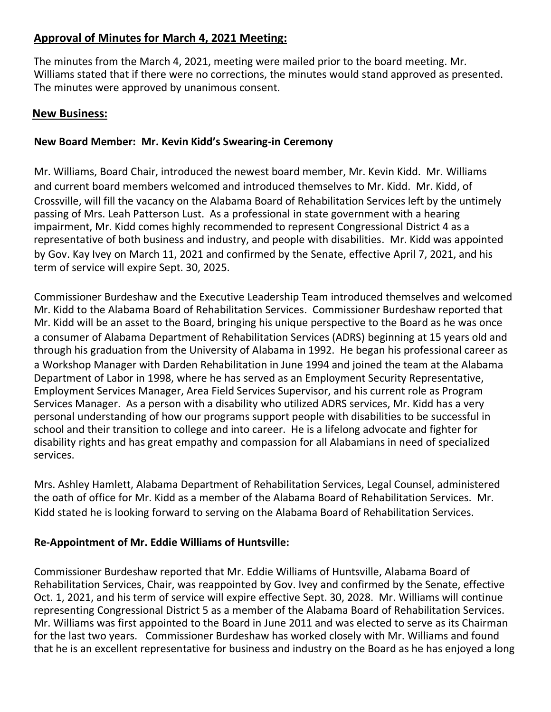## **Approval of Minutes for March 4, 2021 Meeting:**

The minutes from the March 4, 2021, meeting were mailed prior to the board meeting. Mr. Williams stated that if there were no corrections, the minutes would stand approved as presented. The minutes were approved by unanimous consent.

#### **New Business:**

#### **New Board Member: Mr. Kevin Kidd's Swearing-in Ceremony**

Mr. Williams, Board Chair, introduced the newest board member, Mr. Kevin Kidd. Mr. Williams and current board members welcomed and introduced themselves to Mr. Kidd. Mr. Kidd, of Crossville, will fill the vacancy on the Alabama Board of Rehabilitation Services left by the untimely passing of Mrs. Leah Patterson Lust. As a professional in state government with a hearing impairment, Mr. Kidd comes highly recommended to represent Congressional District 4 as a representative of both business and industry, and people with disabilities. Mr. Kidd was appointed by Gov. Kay Ivey on March 11, 2021 and confirmed by the Senate, effective April 7, 2021, and his term of service will expire Sept. 30, 2025.

Commissioner Burdeshaw and the Executive Leadership Team introduced themselves and welcomed Mr. Kidd to the Alabama Board of Rehabilitation Services. Commissioner Burdeshaw reported that Mr. Kidd will be an asset to the Board, bringing his unique perspective to the Board as he was once a consumer of Alabama Department of Rehabilitation Services (ADRS) beginning at 15 years old and through his graduation from the University of Alabama in 1992. He began his professional career as a Workshop Manager with Darden Rehabilitation in June 1994 and joined the team at the Alabama Department of Labor in 1998, where he has served as an Employment Security Representative, Employment Services Manager, Area Field Services Supervisor, and his current role as Program Services Manager. As a person with a disability who utilized ADRS services, Mr. Kidd has a very personal understanding of how our programs support people with disabilities to be successful in school and their transition to college and into career. He is a lifelong advocate and fighter for disability rights and has great empathy and compassion for all Alabamians in need of specialized services.

Mrs. Ashley Hamlett, Alabama Department of Rehabilitation Services, Legal Counsel, administered the oath of office for Mr. Kidd as a member of the Alabama Board of Rehabilitation Services. Mr. Kidd stated he is looking forward to serving on the Alabama Board of Rehabilitation Services.

#### **Re-Appointment of Mr. Eddie Williams of Huntsville:**

Commissioner Burdeshaw reported that Mr. Eddie Williams of Huntsville, Alabama Board of Rehabilitation Services, Chair, was reappointed by Gov. Ivey and confirmed by the Senate, effective Oct. 1, 2021, and his term of service will expire effective Sept. 30, 2028. Mr. Williams will continue representing Congressional District 5 as a member of the Alabama Board of Rehabilitation Services. Mr. Williams was first appointed to the Board in June 2011 and was elected to serve as its Chairman for the last two years. Commissioner Burdeshaw has worked closely with Mr. Williams and found that he is an excellent representative for business and industry on the Board as he has enjoyed a long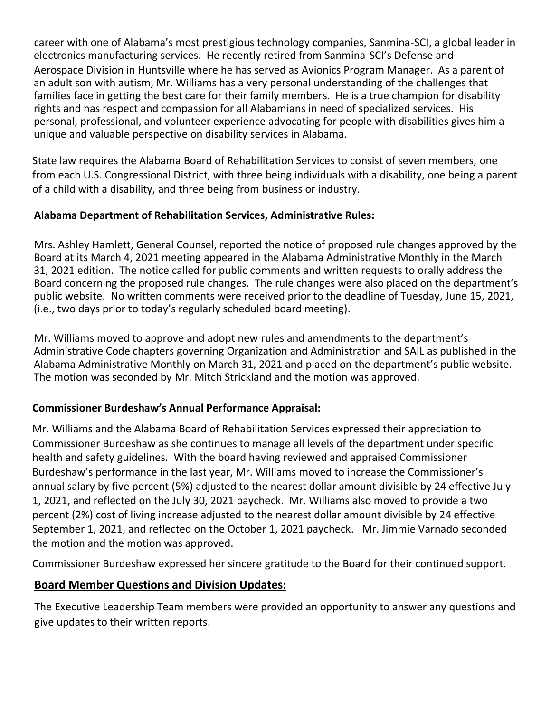career with one of Alabama's most prestigious technology companies, Sanmina-SCI, a global leader in electronics manufacturing services. He recently retired from Sanmina-SCI's Defense and Aerospace Division in Huntsville where he has served as Avionics Program Manager. As a parent of an adult son with autism, Mr. Williams has a very personal understanding of the challenges that families face in getting the best care for their family members. He is a true champion for disability rights and has respect and compassion for all Alabamians in need of specialized services. His personal, professional, and volunteer experience advocating for people with disabilities gives him a unique and valuable perspective on disability services in Alabama.

State law requires the Alabama Board of Rehabilitation Services to consist of seven members, one from each U.S. Congressional District, with three being individuals with a disability, one being a parent of a child with a disability, and three being from business or industry.

#### **Alabama Department of Rehabilitation Services, Administrative Rules:**

Mrs. Ashley Hamlett, General Counsel, reported the notice of proposed rule changes approved by the Board at its March 4, 2021 meeting appeared in the Alabama Administrative Monthly in the March 31, 2021 edition. The notice called for public comments and written requests to orally address the Board concerning the proposed rule changes. The rule changes were also placed on the department's public website. No written comments were received prior to the deadline of Tuesday, June 15, 2021, (i.e., two days prior to today's regularly scheduled board meeting).

Mr. Williams moved to approve and adopt new rules and amendments to the department's Administrative Code chapters governing Organization and Administration and SAIL as published in the Alabama Administrative Monthly on March 31, 2021 and placed on the department's public website. The motion was seconded by Mr. Mitch Strickland and the motion was approved.

### **Commissioner Burdeshaw's Annual Performance Appraisal:**

Mr. Williams and the Alabama Board of Rehabilitation Services expressed their appreciation to Commissioner Burdeshaw as she continues to manage all levels of the department under specific health and safety guidelines. With the board having reviewed and appraised Commissioner Burdeshaw's performance in the last year, Mr. Williams moved to increase the Commissioner's annual salary by five percent (5%) adjusted to the nearest dollar amount divisible by 24 effective July 1, 2021, and reflected on the July 30, 2021 paycheck. Mr. Williams also moved to provide a two percent (2%) cost of living increase adjusted to the nearest dollar amount divisible by 24 effective September 1, 2021, and reflected on the October 1, 2021 paycheck. Mr. Jimmie Varnado seconded the motion and the motion was approved.

Commissioner Burdeshaw expressed her sincere gratitude to the Board for their continued support.

### **Board Member Questions and Division Updates:**

The Executive Leadership Team members were provided an opportunity to answer any questions and give updates to their written reports.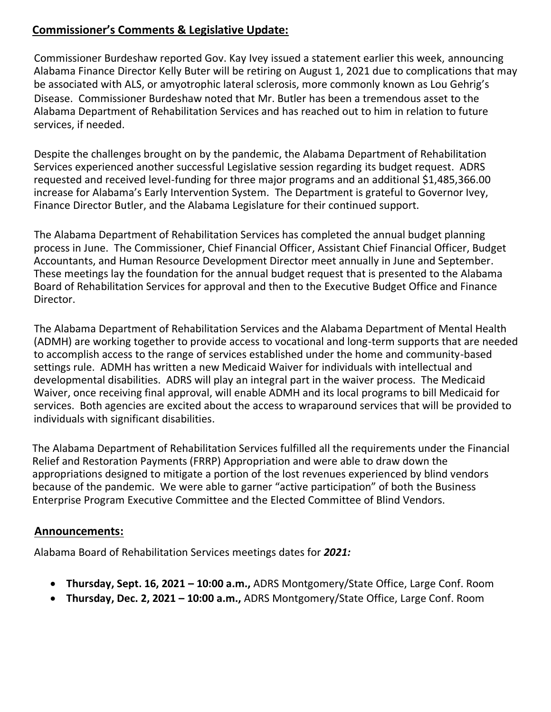# **Commissioner's Comments & Legislative Update:**

Commissioner Burdeshaw reported Gov. Kay Ivey issued a statement earlier this week, announcing Alabama Finance Director Kelly Buter will be retiring on August 1, 2021 due to complications that may be associated with ALS, or amyotrophic lateral sclerosis, more commonly known as Lou Gehrig's Disease. Commissioner Burdeshaw noted that Mr. Butler has been a tremendous asset to the Alabama Department of Rehabilitation Services and has reached out to him in relation to future services, if needed.

Despite the challenges brought on by the pandemic, the Alabama Department of Rehabilitation Services experienced another successful Legislative session regarding its budget request. ADRS requested and received level-funding for three major programs and an additional \$1,485,366.00 increase for Alabama's Early Intervention System. The Department is grateful to Governor Ivey, Finance Director Butler, and the Alabama Legislature for their continued support.

The Alabama Department of Rehabilitation Services has completed the annual budget planning process in June. The Commissioner, Chief Financial Officer, Assistant Chief Financial Officer, Budget Accountants, and Human Resource Development Director meet annually in June and September. These meetings lay the foundation for the annual budget request that is presented to the Alabama Board of Rehabilitation Services for approval and then to the Executive Budget Office and Finance Director.

The Alabama Department of Rehabilitation Services and the Alabama Department of Mental Health (ADMH) are working together to provide access to vocational and long-term supports that are needed to accomplish access to the range of services established under the home and community-based settings rule. ADMH has written a new Medicaid Waiver for individuals with intellectual and developmental disabilities. ADRS will play an integral part in the waiver process. The Medicaid Waiver, once receiving final approval, will enable ADMH and its local programs to bill Medicaid for services. Both agencies are excited about the access to wraparound services that will be provided to individuals with significant disabilities.

The Alabama Department of Rehabilitation Services fulfilled all the requirements under the Financial Relief and Restoration Payments (FRRP) Appropriation and were able to draw down the appropriations designed to mitigate a portion of the lost revenues experienced by blind vendors because of the pandemic. We were able to garner "active participation" of both the Business Enterprise Program Executive Committee and the Elected Committee of Blind Vendors.

### **Announcements:**

Alabama Board of Rehabilitation Services meetings dates for *2021:*

- **Thursday, Sept. 16, 2021 – 10:00 a.m.,** ADRS Montgomery/State Office, Large Conf. Room
- **Thursday, Dec. 2, 2021 – 10:00 a.m.,** ADRS Montgomery/State Office, Large Conf. Room